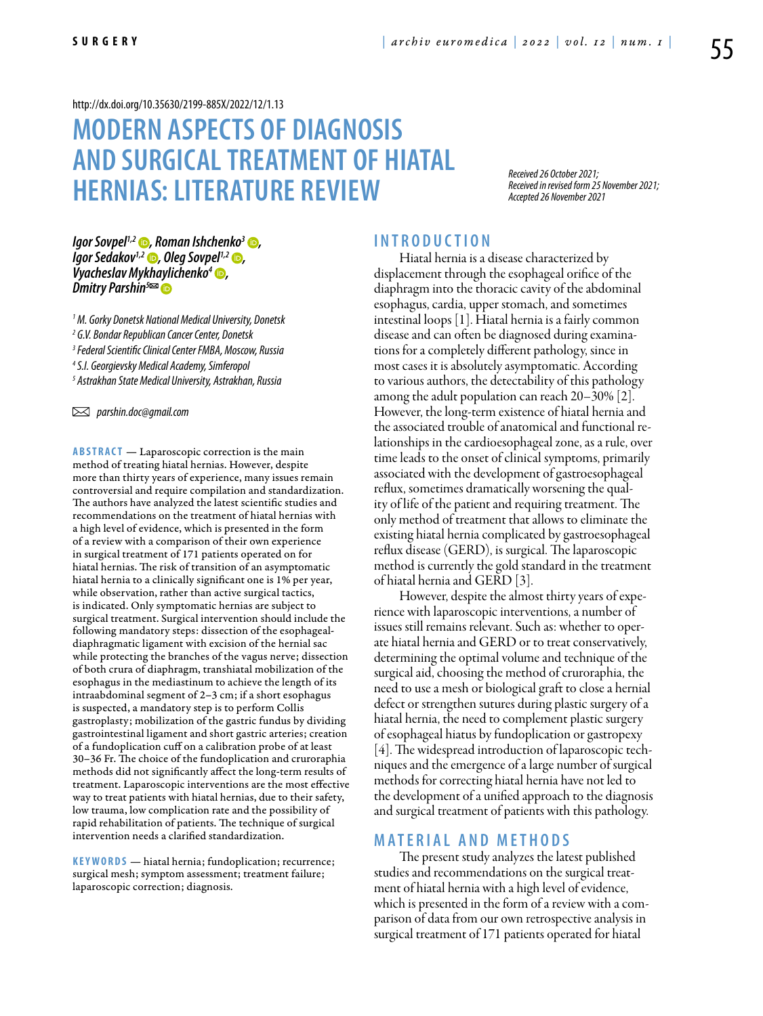#### <http://dx.doi.org/10.35630/2199-885X/2022/12/1.13>

# **Modern aspects of diagnosis and surgical treatment of hiatal hernias: Literature Review**

*Received 26 October 2021; Received in revised form 25 November 2021; Accepted 26 November 2021*

*[Igor Sovpel](https://orcid.org/0000-0001-8303-7340)<sup>1,2</sup> ●, Roman Ishchenko<sup>3</sup> ●,<br><i>Igor Sedakov<sup>1,2</sup> ●, Oleg Sovpel<sup>1,2</sup> ●,<br>Vyacheslav Mykhaylichenko<sup>4</sup> ●,<br>Dmitry Parshin<sup>5∞</sup>* 

  *M. Gorky Donetsk National Medical University, Donetsk G.V. Bondar Republican Cancer Center, Donetsk Federal Scientific Clinical Center FMBA, Moscow, Russia S.I. Georgievsky Medical Academy, Simferopol Astrakhan State Medical University, Astrakhan, Russia*

 *parshin.doc@gmail.com* 

**ABSTRACT** — Laparoscopic correction is the main method of treating hiatal hernias. However, despite more than thirty years of experience, many issues remain controversial and require compilation and standardization. The authors have analyzed the latest scientific studies and recommendations on the treatment of hiatal hernias with a high level of evidence, which is presented in the form of a review with a comparison of their own experience in surgical treatment of 171 patients operated on for hiatal hernias. The risk of transition of an asymptomatic hiatal hernia to a clinically significant one is 1% per year, while observation, rather than active surgical tactics, is indicated. Only symptomatic hernias are subject to surgical treatment. Surgical intervention should include the following mandatory steps: dissection of the esophagealdiaphragmatic ligament with excision of the hernial sac while protecting the branches of the vagus nerve; dissection of both crura of diaphragm, transhiatal mobilization of the esophagus in the mediastinum to achieve the length of its intraabdominal segment of 2–3 cm; if a short esophagus is suspected, a mandatory step is to perform Collis gastroplasty; mobilization of the gastric fundus by dividing gastrointestinal ligament and short gastric arteries; creation of a fundoplication cuff on a calibration probe of at least 30–36 Fr. The choice of the fundoplication and cruroraphia methods did not significantly affect the long-term results of treatment. Laparoscopic interventions are the most effective way to treat patients with hiatal hernias, due to their safety, low trauma, low complication rate and the possibility of rapid rehabilitation of patients. The technique of surgical intervention needs a clarified standardization.

KEYWORDS — hiatal hernia; fundoplication; recurrence; surgical mesh; symptom assessment; treatment failure; laparoscopic correction; diagnosis.

#### **I n t r o d u ct i o n**

Hiatal hernia is a disease characterized by displacement through the esophageal orifice of the diaphragm into the thoracic cavity of the abdominal esophagus, cardia, upper stomach, and sometimes intestinal loops [1]. Hiatal hernia is a fairly common disease and can often be diagnosed during examinations for a completely different pathology, since in most cases it is absolutely asymptomatic. According to various authors, the detectability of this pathology among the adult population can reach 20–30% [2]. However, the long-term existence of hiatal hernia and the associated trouble of anatomical and functional relationships in the cardioesophageal zone, as a rule, over time leads to the onset of clinical symptoms, primarily associated with the development of gastroesophageal reflux, sometimes dramatically worsening the quality of life of the patient and requiring treatment. The only method of treatment that allows to eliminate the existing hiatal hernia complicated by gastroesophageal reflux disease (GERD), is surgical. The laparoscopic method is currently the gold standard in the treatment of hiatal hernia and GERD [3].

However, despite the almost thirty years of experience with laparoscopic interventions, a number of issues still remains relevant. Such as: whether to operate hiatal hernia and GERD or to treat conservatively, determining the optimal volume and technique of the surgical aid, choosing the method of cruroraphia, the need to use a mesh or biological graft to close a hernial defect or strengthen sutures during plastic surgery of a hiatal hernia, the need to complement plastic surgery of esophageal hiatus by fundoplication or gastropexy [4]. The widespread introduction of laparoscopic techniques and the emergence of a large number of surgical methods for correcting hiatal hernia have not led to the development of a unified approach to the diagnosis and surgical treatment of patients with this pathology.

#### **MATERIAL AND METHODS**

The present study analyzes the latest published studies and recommendations on the surgical treatment of hiatal hernia with a high level of evidence, which is presented in the form of a review with a comparison of data from our own retrospective analysis in surgical treatment of 171 patients operated for hiatal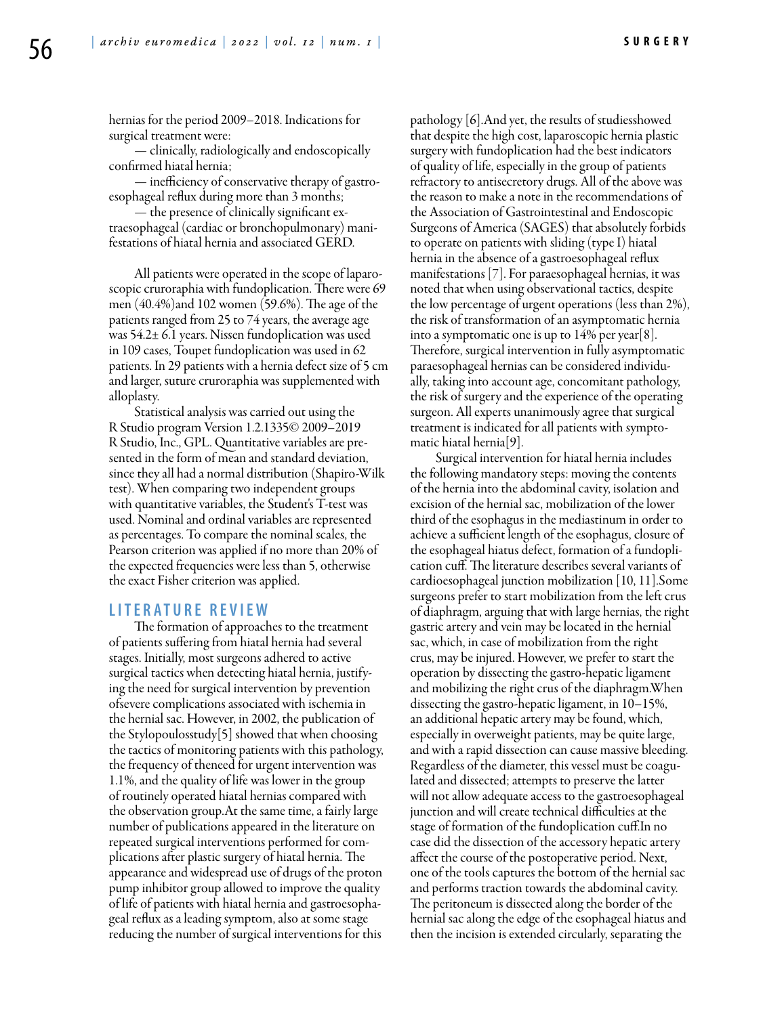hernias for the period 2009–2018. Indications for surgical treatment were:

— clinically, radiologically and endoscopically confirmed hiatal hernia;

— inefficiency of conservative therapy of gastroesophageal reflux during more than 3 months;

— the presence of clinically significant extraesophageal (cardiac or bronchopulmonary) manifestations of hiatal hernia and associated GERD.

All patients were operated in the scope of laparoscopic cruroraphia with fundoplication. There were 69 men (40.4%)and 102 women (59.6%). The age of the patients ranged from 25 to 74 years, the average age was 54.2± 6.1 years. Nissen fundoplication was used in 109 cases, Toupet fundoplication was used in 62 patients. In 29 patients with a hernia defect size of 5 cm and larger, suture cruroraphia was supplemented with alloplasty.

Statistical analysis was carried out using the R Studio program Version 1.2.1335© 2009–2019 R Studio, Inc., GPL. Quantitative variables are presented in the form of mean and standard deviation, since they all had a normal distribution (Shapiro-Wilk test). When comparing two independent groups with quantitative variables, the Student's T-test was used. Nominal and ordinal variables are represented as percentages. To compare the nominal scales, the Pearson criterion was applied if no more than 20% of the expected frequencies were less than 5, otherwise the exact Fisher criterion was applied.

#### **Li t e r a t u r e R e v i e w**

The formation of approaches to the treatment of patients suffering from hiatal hernia had several stages. Initially, most surgeons adhered to active surgical tactics when detecting hiatal hernia, justifying the need for surgical intervention by prevention ofsevere complications associated with ischemia in the hernial sac. However, in 2002, the publication of the Stylopoulosstudy[5] showed that when choosing the tactics of monitoring patients with this pathology, the frequency of theneed for urgent intervention was 1.1%, and the quality of life was lower in the group of routinely operated hiatal hernias compared with the observation group.At the same time, a fairly large number of publications appeared in the literature on repeated surgical interventions performed for complications after plastic surgery of hiatal hernia. The appearance and widespread use of drugs of the proton pump inhibitor group allowed to improve the quality of life of patients with hiatal hernia and gastroesophageal reflux as a leading symptom, also at some stage reducing the number of surgical interventions for this

pathology [6].And yet, the results of studiesshowed that despite the high cost, laparoscopic hernia plastic surgery with fundoplication had the best indicators of quality of life, especially in the group of patients refractory to antisecretory drugs. All of the above was the reason to make a note in the recommendations of the Association of Gastrointestinal and Endoscopic Surgeons of America (SAGES) that absolutely forbids to operate on patients with sliding (type I) hiatal hernia in the absence of a gastroesophageal reflux manifestations [7]. For paraesophageal hernias, it was noted that when using observational tactics, despite the low percentage of urgent operations (less than 2%), the risk of transformation of an asymptomatic hernia into a symptomatic one is up to  $14\%$  per year[8]. Therefore, surgical intervention in fully asymptomatic paraesophageal hernias can be considered individually, taking into account age, concomitant pathology, the risk of surgery and the experience of the operating surgeon. All experts unanimously agree that surgical treatment is indicated for all patients with symptomatic hiatal hernia[9].

Surgical intervention for hiatal hernia includes the following mandatory steps: moving the contents of the hernia into the abdominal cavity, isolation and excision of the hernial sac, mobilization of the lower third of the esophagus in the mediastinum in order to achieve a sufficient length of the esophagus, closure of the esophageal hiatus defect, formation of a fundoplication cuff. The literature describes several variants of cardioesophageal junction mobilization [10, 11].Some surgeons prefer to start mobilization from the left crus of diaphragm, arguing that with large hernias, the right gastric artery and vein may be located in the hernial sac, which, in case of mobilization from the right crus, may be injured. However, we prefer to start the operation by dissecting the gastro-hepatic ligament and mobilizing the right crus of the diaphragm.When dissecting the gastro-hepatic ligament, in 10–15%, an additional hepatic artery may be found, which, especially in overweight patients, may be quite large, and with a rapid dissection can cause massive bleeding. Regardless of the diameter, this vessel must be coagulated and dissected; attempts to preserve the latter will not allow adequate access to the gastroesophageal junction and will create technical difficulties at the stage of formation of the fundoplication cuff.In no case did the dissection of the accessory hepatic artery affect the course of the postoperative period. Next, one of the tools captures the bottom of the hernial sac and performs traction towards the abdominal cavity. The peritoneum is dissected along the border of the hernial sac along the edge of the esophageal hiatus and then the incision is extended circularly, separating the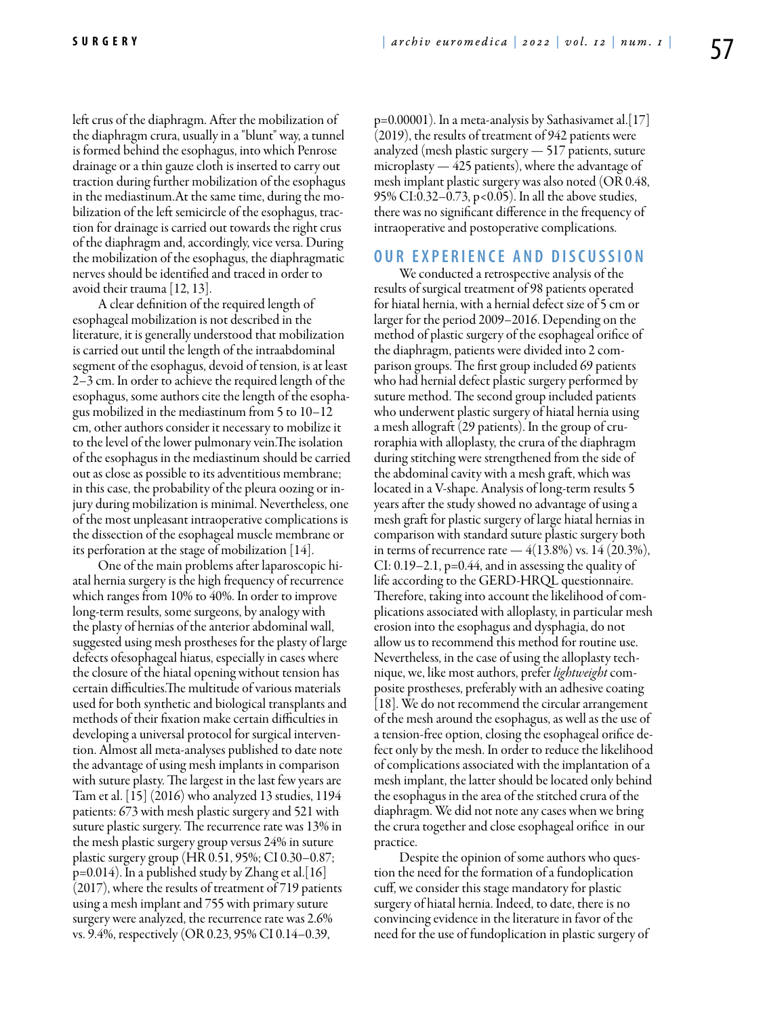left crus of the diaphragm. After the mobilization of the diaphragm crura, usually in a "blunt" way, a tunnel is formed behind the esophagus, into which Penrose drainage or a thin gauze cloth is inserted to carry out traction during further mobilization of the esophagus in the mediastinum.At the same time, during the mobilization of the left semicircle of the esophagus, traction for drainage is carried out towards the right crus of the diaphragm and, accordingly, vice versa. During the mobilization of the esophagus, the diaphragmatic nerves should be identified and traced in order to avoid their trauma [12, 13].

A clear definition of the required length of esophageal mobilization is not described in the literature, it is generally understood that mobilization is carried out until the length of the intraabdominal segment of the esophagus, devoid of tension, is at least 2–3 cm. In order to achieve the required length of the esophagus, some authors cite the length of the esophagus mobilized in the mediastinum from 5 to 10–12 cm, other authors consider it necessary to mobilize it to the level of the lower pulmonary vein.The isolation of the esophagus in the mediastinum should be carried out as close as possible to its adventitious membrane; in this case, the probability of the pleura oozing or injury during mobilization is minimal. Nevertheless, one of the most unpleasant intraoperative complications is the dissection of the esophageal muscle membrane or its perforation at the stage of mobilization  $[14]$ .

One of the main problems after laparoscopic hiatal hernia surgery is the high frequency of recurrence which ranges from 10% to 40%. In order to improve long-term results, some surgeons, by analogy with the plasty of hernias of the anterior abdominal wall, suggested using mesh prostheses for the plasty of large defects ofesophageal hiatus, especially in cases where the closure of the hiatal opening without tension has certain difficulties.The multitude of various materials used for both synthetic and biological transplants and methods of their fixation make certain difficulties in developing a universal protocol for surgical intervention. Almost all meta-analyses published to date note the advantage of using mesh implants in comparison with suture plasty. The largest in the last few years are Tam et al. [15] (2016) who analyzed 13 studies, 1194 patients: 673 with mesh plastic surgery and 521 with suture plastic surgery. The recurrence rate was 13% in the mesh plastic surgery group versus 24% in suture plastic surgery group (HR 0.51, 95%; CI 0.30–0.87;  $p=0.014$ ). In a published study by Zhang et al. [16] (2017), where the results of treatment of 719 patients using a mesh implant and 755 with primary suture surgery were analyzed, the recurrence rate was 2.6% vs. 9.4%, respectively (OR 0.23, 95% CI 0.14–0.39,

 $p=0.00001$ ). In a meta-analysis by Sathasivamet al. [17] (2019), the results of treatment of 942 patients were analyzed (mesh plastic surgery — 517 patients, suture microplasty — 425 patients), where the advantage of mesh implant plastic surgery was also noted (OR 0.48, 95% CI:0.32–0.73, p<0.05). In all the above studies, there was no significant difference in the frequency of intraoperative and postoperative complications.

### **O u r E x p e r i e n ce a n d D i sc u s s i o n**

We conducted a retrospective analysis of the results of surgical treatment of 98 patients operated for hiatal hernia, with a hernial defect size of 5 cm or larger for the period 2009–2016. Depending on the method of plastic surgery of the esophageal orifice of the diaphragm, patients were divided into 2 comparison groups. The first group included 69 patients who had hernial defect plastic surgery performed by suture method. The second group included patients who underwent plastic surgery of hiatal hernia using a mesh allograft (29 patients). In the group of cruroraphia with alloplasty, the crura of the diaphragm during stitching were strengthened from the side of the abdominal cavity with a mesh graft, which was located in a V-shape. Analysis of long-term results 5 years after the study showed no advantage of using a mesh graft for plastic surgery of large hiatal hernias in comparison with standard suture plastic surgery both in terms of recurrence rate  $-4(13.8\%)$  vs. 14 (20.3%), CI: 0.19–2.1, p=0.44, and in assessing the quality of life according to the GERD-HRQL questionnaire. Therefore, taking into account the likelihood of complications associated with alloplasty, in particular mesh erosion into the esophagus and dysphagia, do not allow us to recommend this method for routine use. Nevertheless, in the case of using the alloplasty technique, we, like most authors, prefer *lightweight* composite prostheses, preferably with an adhesive coating [18]. We do not recommend the circular arrangement of the mesh around the esophagus, as well as the use of a tension-free option, closing the esophageal orifice defect only by the mesh. In order to reduce the likelihood of complications associated with the implantation of a mesh implant, the latter should be located only behind the esophagus in the area of the stitched crura of the diaphragm. We did not note any cases when we bring the crura together and close esophageal orifice in our practice.

Despite the opinion of some authors who question the need for the formation of a fundoplication cuff, we consider this stage mandatory for plastic surgery of hiatal hernia. Indeed, to date, there is no convincing evidence in the literature in favor of the need for the use of fundoplication in plastic surgery of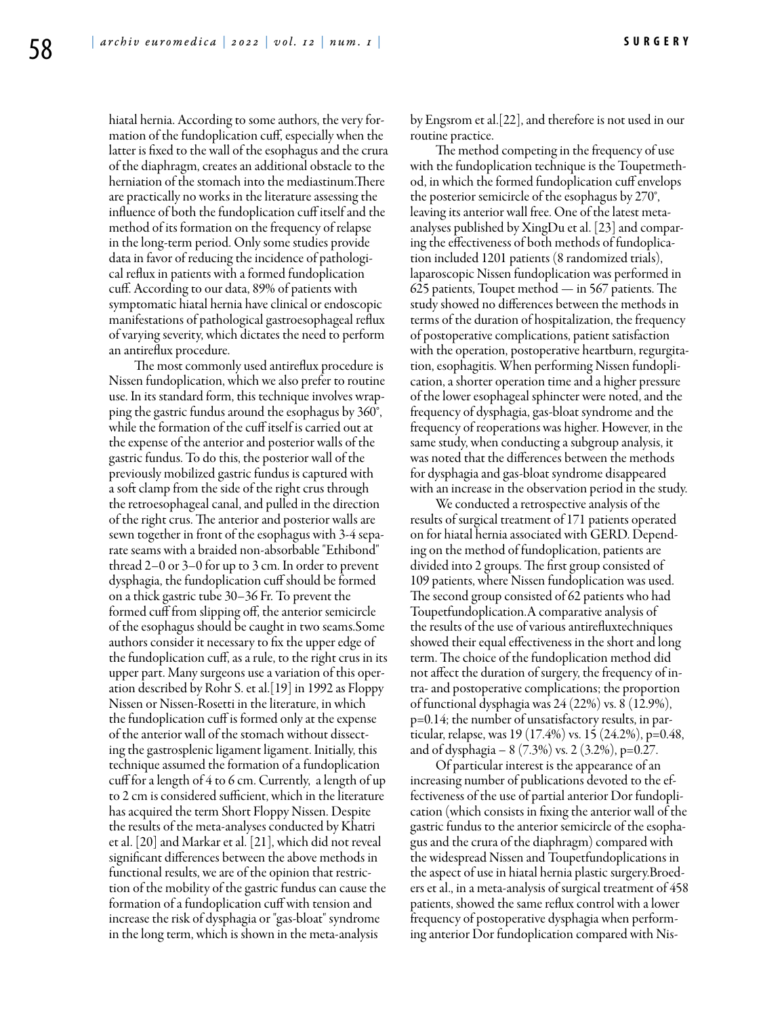hiatal hernia. According to some authors, the very formation of the fundoplication cuff, especially when the latter is fixed to the wall of the esophagus and the crura of the diaphragm, creates an additional obstacle to the herniation of the stomach into the mediastinum.There are practically no works in the literature assessing the influence of both the fundoplication cuff itself and the method of its formation on the frequency of relapse in the long-term period. Only some studies provide data in favor of reducing the incidence of pathological reflux in patients with a formed fundoplication cuff. According to our data, 89% of patients with symptomatic hiatal hernia have clinical or endoscopic manifestations of pathological gastroesophageal reflux of varying severity, which dictates the need to perform an antireflux procedure.

The most commonly used antireflux procedure is Nissen fundoplication, which we also prefer to routine use. In its standard form, this technique involves wrapping the gastric fundus around the esophagus by 360°, while the formation of the cuff itself is carried out at the expense of the anterior and posterior walls of the gastric fundus. To do this, the posterior wall of the previously mobilized gastric fundus is captured with a soft clamp from the side of the right crus through the retroesophageal canal, and pulled in the direction of the right crus. The anterior and posterior walls are sewn together in front of the esophagus with 3-4 separate seams with a braided non-absorbable "Ethibond" thread 2–0 or 3–0 for up to 3 cm. In order to prevent dysphagia, the fundoplication cuff should be formed on a thick gastric tube 30–36 Fr. To prevent the formed cuff from slipping off, the anterior semicircle of the esophagus should be caught in two seams.Some authors consider it necessary to fix the upper edge of the fundoplication cuff, as a rule, to the right crus in its upper part. Many surgeons use a variation of this operation described by Rohr S. et al.[19] in 1992 as Floppy Nissen or Nissen-Rosetti in the literature, in which the fundoplication cuff is formed only at the expense of the anterior wall of the stomach without dissecting the gastrosplenic ligament ligament. Initially, this technique assumed the formation of a fundoplication cuff for a length of 4 to 6 cm. Currently, a length of up to 2 cm is considered sufficient, which in the literature has acquired the term Short Floppy Nissen. Despite the results of the meta-analyses conducted by Khatri et al. [20] and Markar et al. [21], which did not reveal significant differences between the above methods in functional results, we are of the opinion that restriction of the mobility of the gastric fundus can cause the formation of a fundoplication cuff with tension and increase the risk of dysphagia or "gas-bloat" syndrome in the long term, which is shown in the meta-analysis

by Engsrom et al.[22], and therefore is not used in our routine practice.

The method competing in the frequency of use with the fundoplication technique is the Toupetmethod, in which the formed fundoplication cuff envelops the posterior semicircle of the esophagus by 270°, leaving its anterior wall free. One of the latest metaanalyses published by XingDu et al. [23] and comparing the effectiveness of both methods of fundoplication included 1201 patients (8 randomized trials), laparoscopic Nissen fundoplication was performed in 625 patients, Toupet method — in 567 patients. The study showed no differences between the methods in terms of the duration of hospitalization, the frequency of postoperative complications, patient satisfaction with the operation, postoperative heartburn, regurgitation, esophagitis. When performing Nissen fundoplication, a shorter operation time and a higher pressure of the lower esophageal sphincter were noted, and the frequency of dysphagia, gas-bloat syndrome and the frequency of reoperations was higher. However, in the same study, when conducting a subgroup analysis, it was noted that the differences between the methods for dysphagia and gas-bloat syndrome disappeared with an increase in the observation period in the study.

We conducted a retrospective analysis of the results of surgical treatment of 171 patients operated on for hiatal hernia associated with GERD. Depending on the method of fundoplication, patients are divided into 2 groups. The first group consisted of 109 patients, where Nissen fundoplication was used. The second group consisted of 62 patients who had Toupetfundoplication.A comparative analysis of the results of the use of various antirefluxtechniques showed their equal effectiveness in the short and long term. The choice of the fundoplication method did not affect the duration of surgery, the frequency of intra- and postoperative complications; the proportion of functional dysphagia was 24 (22%) vs. 8 (12.9%), p=0.14; the number of unsatisfactory results, in particular, relapse, was 19 (17.4%) vs. 15 (24.2%), p=0.48, and of dysphagia –  $8(7.3\%)$  vs. 2  $(3.2\%)$ , p=0.27.

Of particular interest is the appearance of an increasing number of publications devoted to the effectiveness of the use of partial anterior Dor fundoplication (which consists in fixing the anterior wall of the gastric fundus to the anterior semicircle of the esophagus and the crura of the diaphragm) compared with the widespread Nissen and Toupetfundoplications in the aspect of use in hiatal hernia plastic surgery.Broeders et al., in a meta-analysis of surgical treatment of 458 patients, showed the same reflux control with a lower frequency of postoperative dysphagia when performing anterior Dor fundoplication compared with Nis-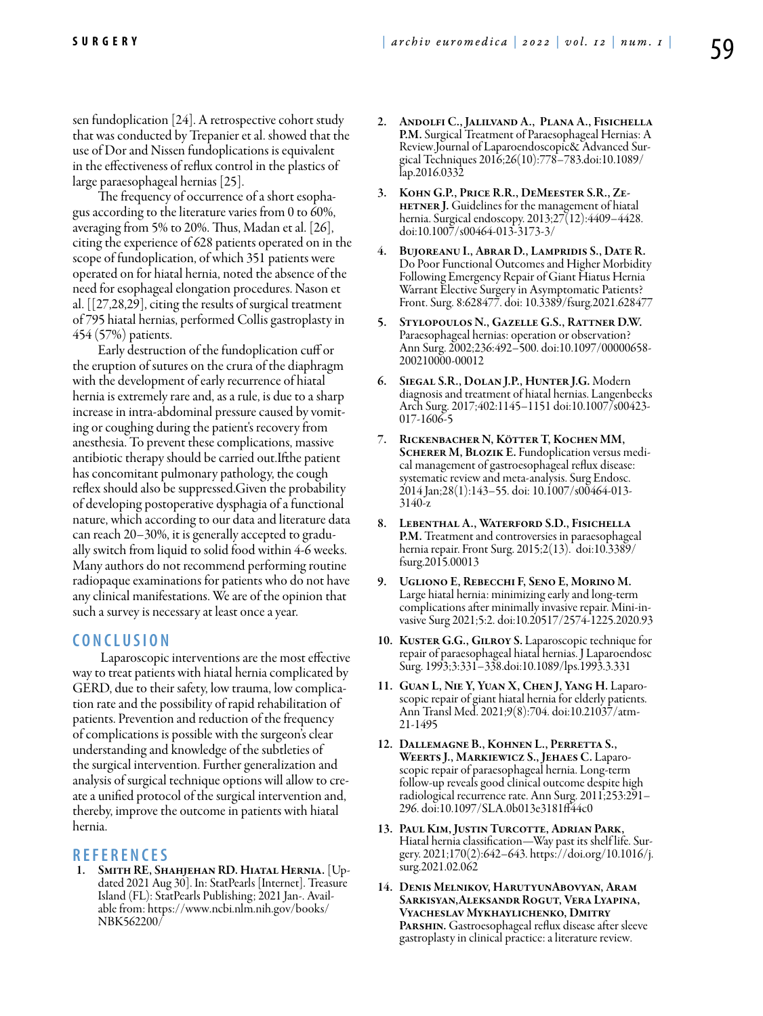sen fundoplication [24]. A retrospective cohort study that was conducted by Trepanier et al. showed that the use of Dor and Nissen fundoplications is equivalent in the effectiveness of reflux control in the plastics of large paraesophageal hernias [25].

The frequency of occurrence of a short esophagus according to the literature varies from 0 to 60%, averaging from 5% to 20%. Thus, Madan et al. [26], citing the experience of 628 patients operated on in the scope of fundoplication, of which 351 patients were operated on for hiatal hernia, noted the absence of the need for esophageal elongation procedures. Nason et al. [[27,28,29], citing the results of surgical treatment of 795 hiatal hernias, performed Collis gastroplasty in 454 (57%) patients.

Early destruction of the fundoplication cuff or the eruption of sutures on the crura of the diaphragm with the development of early recurrence of hiatal hernia is extremely rare and, as a rule, is due to a sharp increase in intra-abdominal pressure caused by vomiting or coughing during the patient's recovery from anesthesia. To prevent these complications, massive antibiotic therapy should be carried out.Ifthe patient has concomitant pulmonary pathology, the cough reflex should also be suppressed.Given the probability of developing postoperative dysphagia of a functional nature, which according to our data and literature data can reach 20–30%, it is generally accepted to gradually switch from liquid to solid food within 4-6 weeks. Many authors do not recommend performing routine radiopaque examinations for patients who do not have any clinical manifestations. We are of the opinion that such a survey is necessary at least once a year.

## **C o n cl u s i o n**

 Laparoscopic interventions are the most effective way to treat patients with hiatal hernia complicated by GERD, due to their safety, low trauma, low complication rate and the possibility of rapid rehabilitation of patients. Prevention and reduction of the frequency of complications is possible with the surgeon's clear understanding and knowledge of the subtleties of the surgical intervention. Further generalization and analysis of surgical technique options will allow to create a unified protocol of the surgical intervention and, thereby, improve the outcome in patients with hiatal hernia.

**R E F E R E N C E S**<br>1. Smith RE, Shahjehan RD. Hiatal Hernia. [Updated 2021 Aug 30]. In: StatPearls [Internet]. Treasure Island (FL): StatPearls Publishing; 2021 Jan-. Avail- able from: https://www.ncbi.nlm.nih.gov/books/ NBK562200/

- 2. Andolfi C., Jalilvand A., Plana A., Fisichella P.M. Surgical Treatment of Paraesophageal Hernias: A Review.Journal of Laparoendoscopic& Advanced Surgical Techniques 2016;26(10):778–783.doi:10.1089/ lap.2016.0332
- 3. Kohn G.P., Price R.R., DeMeester S.R., Ze-**HETNER J.** Guidelines for the management of hiatal hernia. Surgical endoscopy. 2013;27(12):4409–4428. doi:10.1007/s00464-013-3173-3/
- 4. Bujoreanu I., Abrar D., Lampridis S., Date R. Do Poor Functional Outcomes and Higher Morbidity Following Emergency Repair of Giant Hiatus Hernia Warrant Elective Surgery in Asymptomatic Patients? Front. Surg. 8:628477. doi: 10.3389/fsurg.2021.628477
- 5. Stylopoulos N., Gazelle G.S., Rattner D.W. Paraesophageal hernias: operation or observation? Ann Surg. 2002;236:492–500. doi:10.1097/00000658- 200210000-00012
- 6. Siegal S.R., Dolan J.P., Hunter J.G. Modern diagnosis and treatment of hiatal hernias. Langenbecks Arch Surg. 2017;402:1145–1151 doi:10.1007/s00423- 017-1606-5
- 7. Rickenbacher N, Kötter T, Kochen MM, SCHERER M, BLOZIK E. Fundoplication versus medical management of gastroesophageal reflux disease: systematic review and meta-analysis. Surg Endosc. 2014 Jan;28(1):143–55. doi: 10.1007/s00464-013- 3140-z
- 8. Lebenthal A., Waterford S.D., Fisichella P.M. Treatment and controversies in paraesophageal hernia repair. Front Surg. 2015;2(13). doi:10.3389/ fsurg.2015.00013
- 9. Ugliono E, Rebecchi F, Seno E, Morino M. Large hiatal hernia: minimizing early and long-term vasive Surg 2021;5:2. doi:10.20517/2574-1225.2020.93
- 10. KUSTER G.G., GILROY S. Laparoscopic technique for repair of paraesophageal hiatal hernias. J Laparoendosc Surg. 1993;3:331–338.doi:10.1089/lps.1993.3.331
- 11. Guan L, Nie Y, Yuan X, Chen J, Yang H. Laparo- scopic repair of giant hiatal hernia for elderly patients. Ann Transl Med. 2021;9(8):704. doi:10.21037/atm-21-1495
- 12. Dallemagne B., Kohnen L., Perretta S.,<br>Weerts J., Markiewicz S., Jehaes C. Laparoscopic repair of paraesophageal hernia. Long-term follow-up reveals good clinical outcome despite high radiological recurrence rate. Ann Surg. 2011;253:291– 296. doi:10.1097/SLA.0b013e3181ff44c0
- 13. Paul Kim, Justin Turcotte, Adrian Park, Hiatal hernia classification—Way past its shelf life. Surgery. 2021;170(2):642–643. https://doi.org/10.1016/j. surg.2021.02.062
- 14. Denis Melnikov, HarutyunAbovyan, Aram Sarkisyan,Aleksandr Rogut, Vera Lyapina, Vyacheslav Mykhaylichenko, Dmitry PARSHIN. Gastroesophageal reflux disease after sleeve gastroplasty in clinical practice: a literature review.